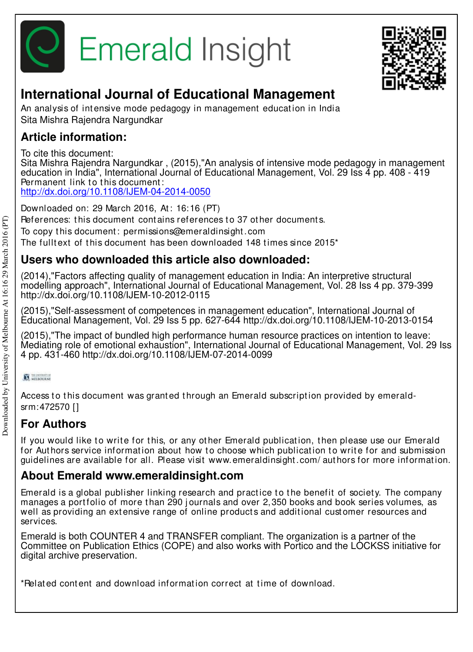



# **International Journal of Educational Management**

An analysis of intensive mode pedagogy in management education in India Sita Mishra Rajendra Nargundkar

# **Article information:**

To cite this document:

Sita Mishra Rajendra Nargundkar , (2015),"An analysis of intensive mode pedagogy in management education in India", International Journal of Educational Management, Vol. 29 Iss 4 pp. 408 - 419 Permanent link to this document: http://dx.doi.org/10.1108/IJEM-04-2014-0050

Downloaded on: 29 March 2016, At: 16:16 (PT)

References: this document contains references to 37 other documents.

To copy t his document : permissions@emeraldinsight .com

The fulltext of this document has been downloaded 148 times since  $2015$ <sup>\*</sup>

# **Users who downloaded this article also downloaded:**

(2014),"Factors affecting quality of management education in India: An interpretive structural modelling approach", International Journal of Educational Management, Vol. 28 Iss 4 pp. 379-399 http://dx.doi.org/10.1108/IJEM-10-2012-0115

(2015),"Self-assessment of competences in management education", International Journal of Educational Management, Vol. 29 Iss 5 pp. 627-644 http://dx.doi.org/10.1108/IJEM-10-2013-0154

(2015),"The impact of bundled high performance human resource practices on intention to leave: Mediating role of emotional exhaustion", International Journal of Educational Management, Vol. 29 Iss 4 pp. 431-460 http://dx.doi.org/10.1108/IJEM-07-2014-0099

# **13 MELIONIRKE**

Access to this document was granted through an Emerald subscription provided by emeraldsrm:472570 []

# **For Authors**

If you would like to write for this, or any other Emerald publication, then please use our Emerald for Authors service information about how to choose which publication to write for and submission guidelines are available for all. Please visit www.emeraldinsight.com/ authors for more information.

# **About Emerald www.emeraldinsight.com**

Emerald is a global publisher linking research and practice to the benefit of society. The company manages a portfolio of more than 290 journals and over 2,350 books and book series volumes, as well as providing an extensive range of online products and additional customer resources and services.

Emerald is both COUNTER 4 and TRANSFER compliant. The organization is a partner of the Committee on Publication Ethics (COPE) and also works with Portico and the LOCKSS initiative for digital archive preservation.

\*Related content and download information correct at time of download.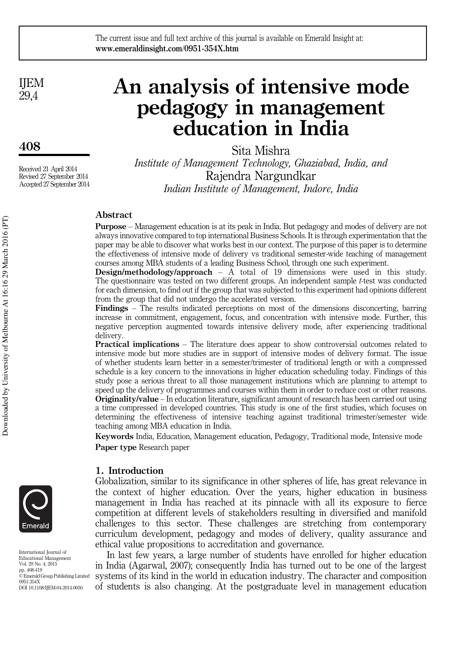IJEM 29,4

408

Received 21 April 2014 Revised 27 September 2014 Accepted 27 September 2014

# An analysis of intensive mode pedagogy in management education in India

Sita Mishra

*Institute of Management Technology, Ghaziabad, India, and* Rajendra Nargundkar *Indian Institute of Management, Indore, India*

## Abstract

Purpose – Management education is at its peak in India. But pedagogy and modes of delivery are not always innovative compared to top international Business Schools. It is through experimentation that the paper may be able to discover what works best in our context. The purpose of this paper is to determine the effectiveness of intensive mode of delivery vs traditional semester-wide teaching of management courses among MBA students of a leading Business School, through one such experiment.

Design/methodology/approach – A total of 19 dimensions were used in this study. The questionnaire was tested on two different groups. An independent sample *t*-test was conducted for each dimension, to find out if the group that was subjected to this experiment had opinions different from the group that did not undergo the accelerated version.

Findings – The results indicated perceptions on most of the dimensions disconcerting, barring increase in commitment, engagement, focus, and concentration with intensive mode. Further, this negative perception augmented towards intensive delivery mode, after experiencing traditional delivery.

Practical implications – The literature does appear to show controversial outcomes related to intensive mode but more studies are in support of intensive modes of delivery format. The issue of whether students learn better in a semester/trimester of traditional length or with a compressed schedule is a key concern to the innovations in higher education scheduling today. Findings of this study pose a serious threat to all those management institutions which are planning to attempt to speed up the delivery of programmes and courses within them in order to reduce cost or other reasons. Originality/value – In education literature, significant amount of research has been carried out using a time compressed in developed countries. This study is one of the first studies, which focuses on determining the effectiveness of intensive teaching against traditional trimester/semester wide teaching among MBA education in India.

Keywords India, Education, Management education, Pedagogy, Traditional mode, Intensive mode Paper type Research paper

## 1. Introduction

Globalization, similar to its significance in other spheres of life, has great relevance in the context of higher education. Over the years, higher education in business management in India has reached at its pinnacle with all its exposure to fierce competition at different levels of stakeholders resulting in diversified and manifold challenges to this sector. These challenges are stretching from contemporary curriculum development, pedagogy and modes of delivery, quality assurance and ethical value propositions to accreditation and governance.

In last few years, a large number of students have enrolled for higher education in India (Agarwal, 2007); consequently India has turned out to be one of the largest systems of its kind in the world in education industry. The character and composition of students is also changing. At the postgraduate level in management education



International Journal of Educational Management Vol. 29 No. 4, 2015 pp. 408-419 © Emerald Group Publishing Limited 0951-354X DOI 10.1108/IJEM-04-2014-0050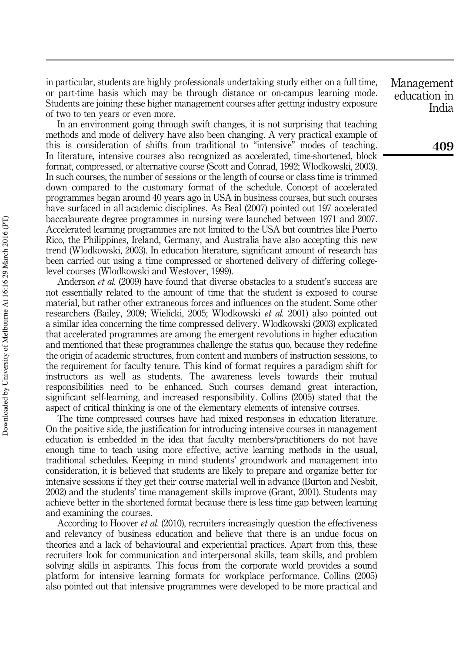in particular, students are highly professionals undertaking study either on a full time, or part-time basis which may be through distance or on-campus learning mode. Students are joining these higher management courses after getting industry exposure of two to ten years or even more.

In an environment going through swift changes, it is not surprising that teaching methods and mode of delivery have also been changing. A very practical example of this is consideration of shifts from traditional to "intensive" modes of teaching. In literature, intensive courses also recognized as accelerated, time-shortened, block format, compressed, or alternative course (Scott and Conrad, 1992; Wlodkowski, 2003). In such courses, the number of sessions or the length of course or class time is trimmed down compared to the customary format of the schedule. Concept of accelerated programmes began around 40 years ago in USA in business courses, but such courses have surfaced in all academic disciplines. As Beal (2007) pointed out 197 accelerated baccalaureate degree programmes in nursing were launched between 1971 and 2007. Accelerated learning programmes are not limited to the USA but countries like Puerto Rico, the Philippines, Ireland, Germany, and Australia have also accepting this new trend (Wlodkowski, 2003). In education literature, significant amount of research has been carried out using a time compressed or shortened delivery of differing collegelevel courses (Wlodkowski and Westover, 1999).

Anderson *et al.* (2009) have found that diverse obstacles to a student's success are not essentially related to the amount of time that the student is exposed to course material, but rather other extraneous forces and influences on the student. Some other researchers (Bailey, 2009; Wielicki, 2005; Wlodkowski *et al.* 2001) also pointed out a similar idea concerning the time compressed delivery. Wlodkowski (2003) explicated that accelerated programmes are among the emergent revolutions in higher education and mentioned that these programmes challenge the status quo, because they redefine the origin of academic structures, from content and numbers of instruction sessions, to the requirement for faculty tenure. This kind of format requires a paradigm shift for instructors as well as students. The awareness levels towards their mutual responsibilities need to be enhanced. Such courses demand great interaction, significant self-learning, and increased responsibility. Collins (2005) stated that the aspect of critical thinking is one of the elementary elements of intensive courses.

The time compressed courses have had mixed responses in education literature. On the positive side, the justification for introducing intensive courses in management education is embedded in the idea that faculty members/practitioners do not have enough time to teach using more effective, active learning methods in the usual, traditional schedules. Keeping in mind students' groundwork and management into consideration, it is believed that students are likely to prepare and organize better for intensive sessions if they get their course material well in advance (Burton and Nesbit, 2002) and the students' time management skills improve (Grant, 2001). Students may achieve better in the shortened format because there is less time gap between learning and examining the courses.

According to Hoover *et al.* (2010), recruiters increasingly question the effectiveness and relevancy of business education and believe that there is an undue focus on theories and a lack of behavioural and experiential practices. Apart from this, these recruiters look for communication and interpersonal skills, team skills, and problem solving skills in aspirants. This focus from the corporate world provides a sound platform for intensive learning formats for workplace performance. Collins (2005) also pointed out that intensive programmes were developed to be more practical and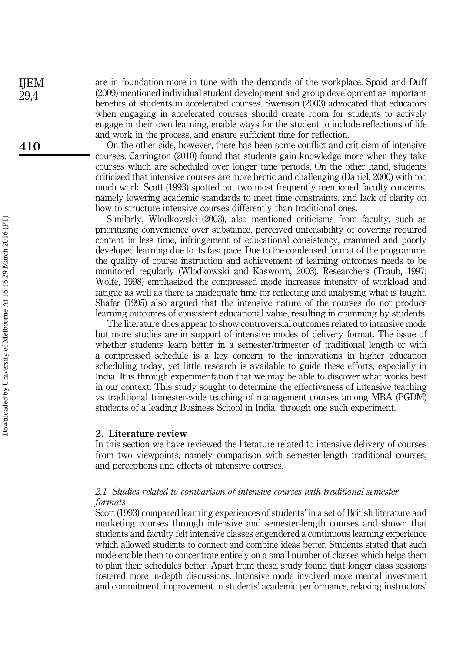are in foundation more in tune with the demands of the workplace. Spaid and Duff (2009) mentioned individual student development and group development as important benefits of students in accelerated courses. Swenson (2003) advocated that educators when engaging in accelerated courses should create room for students to actively engage in their own learning, enable ways for the student to include reflections of life and work in the process, and ensure sufficient time for reflection.

On the other side, however, there has been some conflict and criticism of intensive courses. Carrington (2010) found that students gain knowledge more when they take courses which are scheduled over longer time periods. On the other hand, students criticized that intensive courses are more hectic and challenging (Daniel, 2000) with too much work. Scott (1993) spotted out two most frequently mentioned faculty concerns, namely lowering academic standards to meet time constraints, and lack of clarity on how to structure intensive courses differently than traditional ones.

Similarly, Wlodkowski (2003), also mentioned criticisms from faculty, such as prioritizing convenience over substance, perceived unfeasibility of covering required content in less time, infringement of educational consistency, crammed and poorly developed learning due to its fast pace. Due to the condensed format of the programme, the quality of course instruction and achievement of learning outcomes needs to be monitored regularly (Wlodkowski and Kasworm, 2003). Researchers (Traub, 1997; Wolfe, 1998) emphasized the compressed mode increases intensity of workload and fatigue as well as there is inadequate time for reflecting and analysing what is taught. Shafer (1995) also argued that the intensive nature of the courses do not produce learning outcomes of consistent educational value, resulting in cramming by students.

The literature does appear to show controversial outcomes related to intensive mode but more studies are in support of intensive modes of delivery format. The issue of whether students learn better in a semester/trimester of traditional length or with a compressed schedule is a key concern to the innovations in higher education scheduling today, yet little research is available to guide these efforts, especially in India. It is through experimentation that we may be able to discover what works best in our context. This study sought to determine the effectiveness of intensive teaching vs traditional trimester-wide teaching of management courses among MBA (PGDM) students of a leading Business School in India, through one such experiment.

#### 2. Literature review

In this section we have reviewed the literature related to intensive delivery of courses from two viewpoints, namely comparison with semester-length traditional courses; and perceptions and effects of intensive courses.

## *2.1 Studies related to comparison of intensive courses with traditional semester formats*

Scott (1993) compared learning experiences of students' in a set of British literature and marketing courses through intensive and semester-length courses and shown that students and faculty felt intensive classes engendered a continuous learning experience which allowed students to connect and combine ideas better. Students stated that such mode enable them to concentrate entirely on a small number of classes which helps them to plan their schedules better. Apart from these, study found that longer class sessions fostered more in-depth discussions. Intensive mode involved more mental investment and commitment, improvement in students' academic performance, relaxing instructors'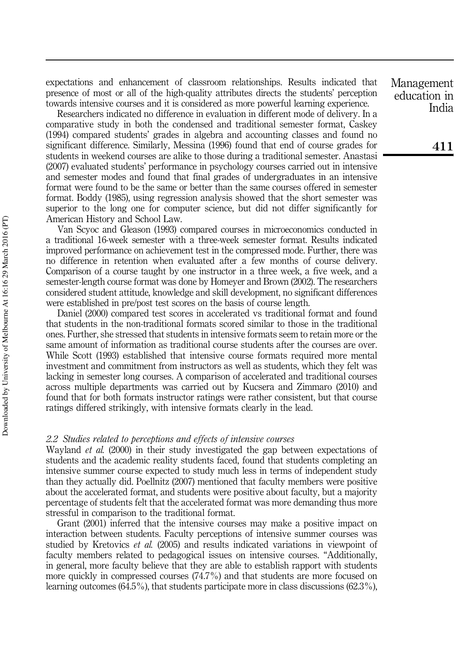expectations and enhancement of classroom relationships. Results indicated that presence of most or all of the high-quality attributes directs the students' perception towards intensive courses and it is considered as more powerful learning experience.

Researchers indicated no difference in evaluation in different mode of delivery. In a comparative study in both the condensed and traditional semester format, Caskey (1994) compared students' grades in algebra and accounting classes and found no significant difference. Similarly, Messina (1996) found that end of course grades for students in weekend courses are alike to those during a traditional semester. Anastasi (2007) evaluated students' performance in psychology courses carried out in intensive and semester modes and found that final grades of undergraduates in an intensive format were found to be the same or better than the same courses offered in semester format. Boddy (1985), using regression analysis showed that the short semester was superior to the long one for computer science, but did not differ significantly for American History and School Law.

Van Scyoc and Gleason (1993) compared courses in microeconomics conducted in a traditional 16-week semester with a three-week semester format. Results indicated improved performance on achievement test in the compressed mode. Further, there was no difference in retention when evaluated after a few months of course delivery. Comparison of a course taught by one instructor in a three week, a five week, and a semester-length course format was done by Homeyer and Brown (2002). The researchers considered student attitude, knowledge and skill development, no significant differences were established in pre/post test scores on the basis of course length.

Daniel (2000) compared test scores in accelerated vs traditional format and found that students in the non-traditional formats scored similar to those in the traditional ones. Further, she stressed that students in intensive formats seem to retain more or the same amount of information as traditional course students after the courses are over. While Scott (1993) established that intensive course formats required more mental investment and commitment from instructors as well as students, which they felt was lacking in semester long courses. A comparison of accelerated and traditional courses across multiple departments was carried out by Kucsera and Zimmaro (2010) and found that for both formats instructor ratings were rather consistent, but that course ratings differed strikingly, with intensive formats clearly in the lead.

#### *2.2 Studies related to perceptions and effects of intensive courses*

Wayland *et al.* (2000) in their study investigated the gap between expectations of students and the academic reality students faced, found that students completing an intensive summer course expected to study much less in terms of independent study than they actually did. Poellnitz (2007) mentioned that faculty members were positive about the accelerated format, and students were positive about faculty, but a majority percentage of students felt that the accelerated format was more demanding thus more stressful in comparison to the traditional format.

Grant (2001) inferred that the intensive courses may make a positive impact on interaction between students. Faculty perceptions of intensive summer courses was studied by Kretovics *et al.* (2005) and results indicated variations in viewpoint of faculty members related to pedagogical issues on intensive courses. "Additionally, in general, more faculty believe that they are able to establish rapport with students more quickly in compressed courses (74.7%) and that students are more focused on learning outcomes (64.5%), that students participate more in class discussions (62.3%),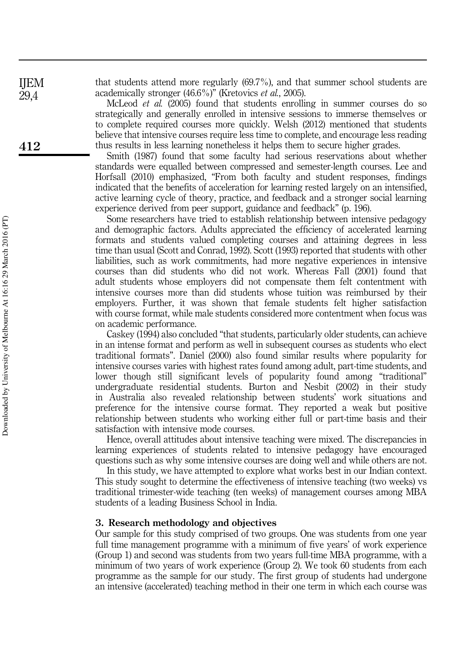that students attend more regularly (69.7%), and that summer school students are academically stronger (46.6%)" (Kretovics *et al.*, 2005).

McLeod *et al.* (2005) found that students enrolling in summer courses do so strategically and generally enrolled in intensive sessions to immerse themselves or to complete required courses more quickly. Welsh (2012) mentioned that students believe that intensive courses require less time to complete, and encourage less reading thus results in less learning nonetheless it helps them to secure higher grades.

Smith (1987) found that some faculty had serious reservations about whether standards were equalled between compressed and semester-length courses. Lee and Horfsall (2010) emphasized, "From both faculty and student responses, findings indicated that the benefits of acceleration for learning rested largely on an intensified, active learning cycle of theory, practice, and feedback and a stronger social learning experience derived from peer support, guidance and feedback" (p. 196).

Some researchers have tried to establish relationship between intensive pedagogy and demographic factors. Adults appreciated the efficiency of accelerated learning formats and students valued completing courses and attaining degrees in less time than usual (Scott and Conrad, 1992). Scott (1993) reported that students with other liabilities, such as work commitments, had more negative experiences in intensive courses than did students who did not work. Whereas Fall (2001) found that adult students whose employers did not compensate them felt contentment with intensive courses more than did students whose tuition was reimbursed by their employers. Further, it was shown that female students felt higher satisfaction with course format, while male students considered more contentment when focus was on academic performance.

Caskey (1994) also concluded "that students, particularly older students, can achieve in an intense format and perform as well in subsequent courses as students who elect traditional formats". Daniel (2000) also found similar results where popularity for intensive courses varies with highest rates found among adult, part-time students, and lower though still significant levels of popularity found among "traditional" undergraduate residential students. Burton and Nesbit (2002) in their study in Australia also revealed relationship between students' work situations and preference for the intensive course format. They reported a weak but positive relationship between students who working either full or part-time basis and their satisfaction with intensive mode courses.

Hence, overall attitudes about intensive teaching were mixed. The discrepancies in learning experiences of students related to intensive pedagogy have encouraged questions such as why some intensive courses are doing well and while others are not.

In this study, we have attempted to explore what works best in our Indian context. This study sought to determine the effectiveness of intensive teaching (two weeks) vs traditional trimester-wide teaching (ten weeks) of management courses among MBA students of a leading Business School in India.

#### 3. Research methodology and objectives

Our sample for this study comprised of two groups. One was students from one year full time management programme with a minimum of five years' of work experience (Group 1) and second was students from two years full-time MBA programme, with a minimum of two years of work experience (Group 2). We took 60 students from each programme as the sample for our study. The first group of students had undergone an intensive (accelerated) teaching method in their one term in which each course was

IJEM 29,4

412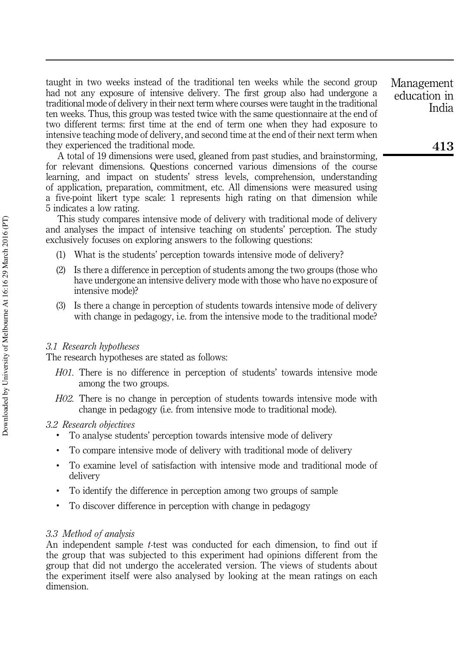taught in two weeks instead of the traditional ten weeks while the second group had not any exposure of intensive delivery. The first group also had undergone a traditional mode of delivery in their next term where courses were taught in the traditional ten weeks. Thus, this group was tested twice with the same questionnaire at the end of two different terms: first time at the end of term one when they had exposure to intensive teaching mode of delivery, and second time at the end of their next term when they experienced the traditional mode.

A total of 19 dimensions were used, gleaned from past studies, and brainstorming, for relevant dimensions. Questions concerned various dimensions of the course learning, and impact on students' stress levels, comprehension, understanding of application, preparation, commitment, etc. All dimensions were measured using a five-point likert type scale: 1 represents high rating on that dimension while 5 indicates a low rating.

This study compares intensive mode of delivery with traditional mode of delivery and analyses the impact of intensive teaching on students' perception. The study exclusively focuses on exploring answers to the following questions:

- (1) What is the students' perception towards intensive mode of delivery?
- (2) Is there a difference in perception of students among the two groups (those who have undergone an intensive delivery mode with those who have no exposure of intensive mode)?
- (3) Is there a change in perception of students towards intensive mode of delivery with change in pedagogy, i.e. from the intensive mode to the traditional mode?

#### *3.1 Research hypotheses*

The research hypotheses are stated as follows:

- *H01.* There is no difference in perception of students' towards intensive mode among the two groups.
- *H02.* There is no change in perception of students towards intensive mode with change in pedagogy (i.e. from intensive mode to traditional mode).

#### *3.2 Research objectives*

- To analyse students' perception towards intensive mode of delivery
- To compare intensive mode of delivery with traditional mode of delivery
- To examine level of satisfaction with intensive mode and traditional mode of delivery
- To identify the difference in perception among two groups of sample
- To discover difference in perception with change in pedagogy

#### *3.3 Method of analysis*

An independent sample *t*-test was conducted for each dimension, to find out if the group that was subjected to this experiment had opinions different from the group that did not undergo the accelerated version. The views of students about the experiment itself were also analysed by looking at the mean ratings on each dimension.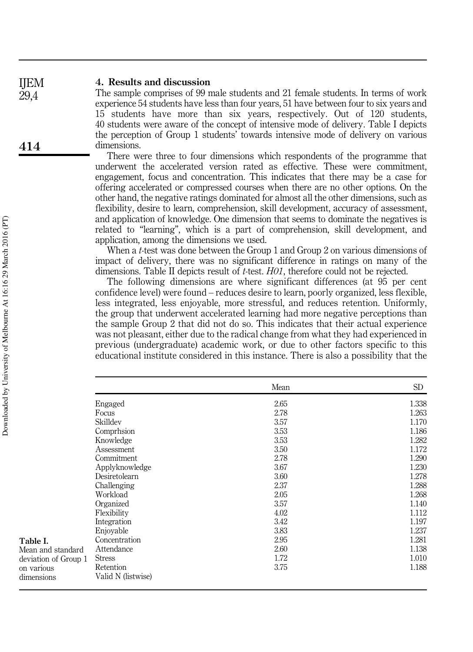#### 4. Results and discussion IJEM

The sample comprises of 99 male students and 21 female students. In terms of work experience 54 students have less than four years, 51 have between four to six years and 15 students have more than six years, respectively. Out of 120 students, 40 students were aware of the concept of intensive mode of delivery. Table I depicts the perception of Group 1 students' towards intensive mode of delivery on various dimensions.

There were three to four dimensions which respondents of the programme that underwent the accelerated version rated as effective. These were commitment, engagement, focus and concentration. This indicates that there may be a case for offering accelerated or compressed courses when there are no other options. On the other hand, the negative ratings dominated for almost all the other dimensions, such as flexibility, desire to learn, comprehension, skill development, accuracy of assessment, and application of knowledge. One dimension that seems to dominate the negatives is related to "learning", which is a part of comprehension, skill development, and application, among the dimensions we used.

When a *t*-test was done between the Group 1 and Group 2 on various dimensions of impact of delivery, there was no significant difference in ratings on many of the dimensions. Table II depicts result of *t*-test. *H01*, therefore could not be rejected.

The following dimensions are where significant differences (at 95 per cent confidence level) were found – reduces desire to learn, poorly organized, less flexible, less integrated, less enjoyable, more stressful, and reduces retention. Uniformly, the group that underwent accelerated learning had more negative perceptions than the sample Group 2 that did not do so. This indicates that their actual experience was not pleasant, either due to the radical change from what they had experienced in previous (undergraduate) academic work, or due to other factors specific to this educational institute considered in this instance. There is also a possibility that the

|                      |                    | Mean | SD    |
|----------------------|--------------------|------|-------|
|                      | Engaged            | 2.65 | 1.338 |
|                      | Focus              | 2.78 | 1.263 |
|                      | <b>Skilldev</b>    | 3.57 | 1.170 |
|                      | Comprhsion         | 3.53 | 1.186 |
|                      | Knowledge          | 3.53 | 1.282 |
|                      | Assessment         | 3.50 | 1.172 |
|                      | Commitment         | 2.78 | 1.290 |
|                      | Applyknowledge     | 3.67 | 1.230 |
|                      | Desiretolearn      | 3.60 | 1.278 |
|                      | Challenging        | 2.37 | 1.288 |
|                      | Workload           | 2.05 | 1.268 |
|                      | Organized          | 3.57 | 1.140 |
|                      | Flexibility        | 4.02 | 1.112 |
|                      | Integration        | 3.42 | 1.197 |
|                      | Enjovable          | 3.83 | 1.237 |
| Table I.             | Concentration      | 2.95 | 1.281 |
| Mean and standard    | Attendance         | 2.60 | 1.138 |
| deviation of Group 1 | <b>Stress</b>      | 1.72 | 1.010 |
| on various           | Retention          | 3.75 | 1.188 |
| dimensions           | Valid N (listwise) |      |       |

414

29,4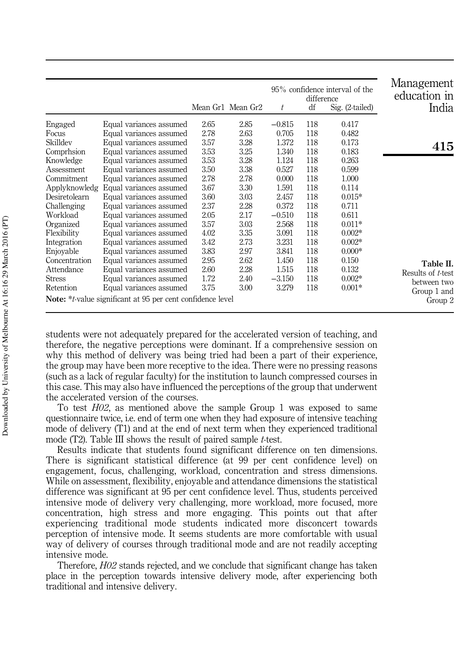|                 |                                                                            |      |                   | 95% confidence interval of the<br>difference |     |                 | Management<br>education in |
|-----------------|----------------------------------------------------------------------------|------|-------------------|----------------------------------------------|-----|-----------------|----------------------------|
|                 |                                                                            |      | Mean Gr1 Mean Gr2 | t                                            | df  | Sig. (2-tailed) | India                      |
| Engaged         | Equal variances assumed                                                    | 2.65 | 2.85              | $-0.815$                                     | 118 | 0.417           |                            |
| Focus           | Equal variances assumed                                                    | 2.78 | 2.63              | 0.705                                        | 118 | 0.482           |                            |
| <b>Skilldev</b> | Equal variances assumed                                                    | 3.57 | 3.28              | 1.372                                        | 118 | 0.173           | 415                        |
| Comprhsion      | Equal variances assumed                                                    | 3.53 | 3.25              | 1.340                                        | 118 | 0.183           |                            |
| Knowledge       | Equal variances assumed                                                    | 3.53 | 3.28              | 1.124                                        | 118 | 0.263           |                            |
| Assessment      | Equal variances assumed                                                    | 3.50 | 3.38              | 0.527                                        | 118 | 0.599           |                            |
| Commitment      | Equal variances assumed                                                    | 2.78 | 2.78              | 0.000                                        | 118 | 1.000           |                            |
| Applyknowledg   | Equal variances assumed                                                    | 3.67 | 3.30              | 1.591                                        | 118 | 0.114           |                            |
| Desiretolearn   | Equal variances assumed                                                    | 3.60 | 3.03              | 2.457                                        | 118 | $0.015*$        |                            |
| Challenging     | Equal variances assumed                                                    | 2.37 | 2.28              | 0.372                                        | 118 | 0.711           |                            |
| Workload        | Equal variances assumed                                                    | 2.05 | 2.17              | $-0.510$                                     | 118 | 0.611           |                            |
| Organized       | Equal variances assumed                                                    | 3.57 | 3.03              | 2.568                                        | 118 | $0.011*$        |                            |
| Flexibility     | Equal variances assumed                                                    | 4.02 | 3.35              | 3.091                                        | 118 | $0.002*$        |                            |
| Integration     | Equal variances assumed                                                    | 3.42 | 2.73              | 3.231                                        | 118 | $0.002*$        |                            |
| Enjoyable       | Equal variances assumed                                                    | 3.83 | 2.97              | 3.841                                        | 118 | $0.000*$        |                            |
| Concentration   | Equal variances assumed                                                    | 2.95 | 2.62              | 1.450                                        | 118 | 0.150           | Table II.                  |
| Attendance      | Equal variances assumed                                                    | 2.60 | 2.28              | 1.515                                        | 118 | 0.132           | Results of t-test          |
| <b>Stress</b>   | Equal variances assumed                                                    | 1.72 | 2.40              | $-3.150$                                     | 118 | $0.002*$        | between two                |
| Retention       | Equal variances assumed                                                    | 3.75 | 3.00              | 3.279                                        | 118 | $0.001*$        | Group 1 and                |
|                 | <b>Note:</b> * <i>t</i> -value significant at 95 per cent confidence level |      |                   |                                              |     |                 | Group 2                    |

students were not adequately prepared for the accelerated version of teaching, and therefore, the negative perceptions were dominant. If a comprehensive session on why this method of delivery was being tried had been a part of their experience, the group may have been more receptive to the idea. There were no pressing reasons (such as a lack of regular faculty) for the institution to launch compressed courses in this case. This may also have influenced the perceptions of the group that underwent the accelerated version of the courses.

To test *H02*, as mentioned above the sample Group 1 was exposed to same questionnaire twice, i.e. end of term one when they had exposure of intensive teaching mode of delivery (T1) and at the end of next term when they experienced traditional mode (T2). Table III shows the result of paired sample *t*-test.

Results indicate that students found significant difference on ten dimensions. There is significant statistical difference (at 99 per cent confidence level) on engagement, focus, challenging, workload, concentration and stress dimensions. While on assessment, flexibility, enjoyable and attendance dimensions the statistical difference was significant at 95 per cent confidence level. Thus, students perceived intensive mode of delivery very challenging, more workload, more focused, more concentration, high stress and more engaging. This points out that after experiencing traditional mode students indicated more disconcert towards perception of intensive mode. It seems students are more comfortable with usual way of delivery of courses through traditional mode and are not readily accepting intensive mode.

Therefore, *H02* stands rejected, and we conclude that significant change has taken place in the perception towards intensive delivery mode, after experiencing both traditional and intensive delivery.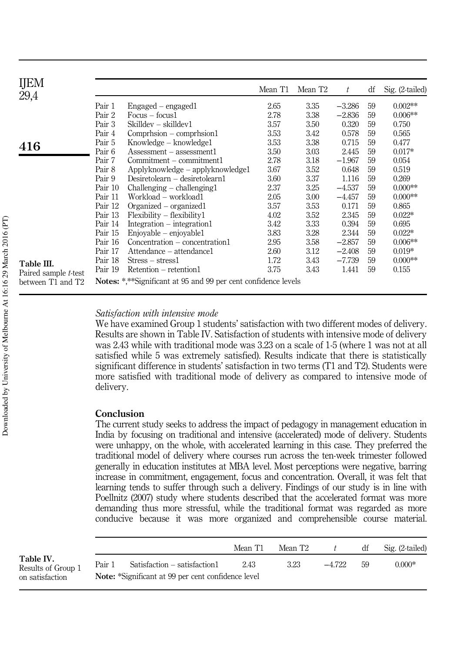| <b>IJEM</b><br>29,4          |         |                                                                       | Mean T1 | Mean T <sub>2</sub> | t        | df | Sig. (2-tailed) |
|------------------------------|---------|-----------------------------------------------------------------------|---------|---------------------|----------|----|-----------------|
|                              | Pair 1  | $Engaged - engaged1$                                                  | 2.65    | 3.35                | $-3.286$ | 59 | $0.002**$       |
|                              | Pair 2  | $Focus - focus1$                                                      | 2.78    | 3.38                | $-2.836$ | 59 | $0.006**$       |
|                              | Pair 3  | $Skilldev - skilldev1$                                                | 3.57    | 3.50                | 0.320    | 59 | 0.750           |
|                              | Pair 4  | Comprh sion – comprh sion1                                            | 3.53    | 3.42                | 0.578    | 59 | 0.565           |
| 416                          | Pair 5  | Knowledge – knowledge1                                                | 3.53    | 3.38                | 0.715    | 59 | 0.477           |
|                              | Pair 6  | $Assessment - assessment1$                                            | 3.50    | 3.03                | 2.445    | 59 | $0.017*$        |
|                              | Pair 7  | $Commitment$ – commitment1                                            | 2.78    | 3.18                | $-1.967$ | 59 | 0.054           |
|                              | Pair 8  | $Apply knowledge - applyknowledge1$                                   | 3.67    | 3.52                | 0.648    | 59 | 0.519           |
|                              | Pair 9  | Desiretolearn – desiretolearn1                                        | 3.60    | 3.37                | 1.116    | 59 | 0.269           |
|                              | Pair 10 | $Challenging - challenging1$                                          | 2.37    | 3.25                | $-4.537$ | 59 | $0.000**$       |
|                              | Pair 11 | Workload – workload1                                                  | 2.05    | 3.00                | $-4.457$ | 59 | $0.000**$       |
|                              | Pair 12 | $O$ rganized – organized $1$                                          | 3.57    | 3.53                | 0.171    | 59 | 0.865           |
|                              | Pair 13 | $F$ lexibility – flexibility 1                                        | 4.02    | 3.52                | 2.345    | 59 | $0.022*$        |
|                              | Pair 14 | $Integration - integration1$                                          | 3.42    | 3.33                | 0.394    | 59 | 0.695           |
|                              | Pair 15 | $Eniovable - eniovable1$                                              | 3.83    | 3.28                | 2.344    | 59 | $0.022*$        |
|                              | Pair 16 | Concentration – concentration1                                        | 2.95    | 3.58                | $-2.857$ | 59 | $0.006**$       |
|                              | Pair 17 | Attendance – attendance1                                              | 2.60    | 3.12                | $-2.408$ | 59 | $0.019*$        |
| Table III.                   | Pair 18 | $Stress - stress1$                                                    | 1.72    | 3.43                | $-7.739$ | 59 | $0.000**$       |
| Paired sample <i>t</i> -test | Pair 19 | Retention – retention1                                                | 3.75    | 3.43                | 1.441    | 59 | 0.155           |
| between T1 and T2            |         | <b>Notes:</b> *,**Significant at 95 and 99 per cent confidence levels |         |                     |          |    |                 |

## *Satisfaction with intensive mode*

We have examined Group 1 students' satisfaction with two different modes of delivery. Results are shown in Table IV. Satisfaction of students with intensive mode of delivery was 2.43 while with traditional mode was 3.23 on a scale of 1-5 (where 1 was not at all satisfied while 5 was extremely satisfied). Results indicate that there is statistically significant difference in students' satisfaction in two terms (T1 and T2). Students were more satisfied with traditional mode of delivery as compared to intensive mode of delivery.

## Conclusion

The current study seeks to address the impact of pedagogy in management education in India by focusing on traditional and intensive (accelerated) mode of delivery. Students were unhappy, on the whole, with accelerated learning in this case. They preferred the traditional model of delivery where courses run across the ten-week trimester followed generally in education institutes at MBA level. Most perceptions were negative, barring increase in commitment, engagement, focus and concentration. Overall, it was felt that learning tends to suffer through such a delivery. Findings of our study is in line with Poellnitz (2007) study where students described that the accelerated format was more demanding thus more stressful, while the traditional format was regarded as more conducive because it was more organized and comprehensible course material.

|                                                              |  | Mean T1                      | Mean T2                                            |          | dt  | Sig. (2-tailed) |
|--------------------------------------------------------------|--|------------------------------|----------------------------------------------------|----------|-----|-----------------|
| Table IV.<br>Pair 1<br>Results of Group 1<br>on satisfaction |  | 2.43                         | 3.23                                               | $-4.722$ | .59 | $0.000*$        |
|                                                              |  |                              |                                                    |          |     |                 |
|                                                              |  | Satisfaction – satisfaction1 | Note: *Significant at 99 per cent confidence level |          |     |                 |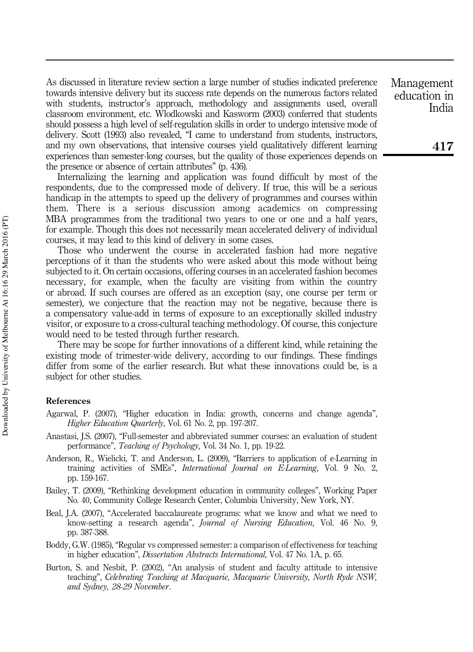As discussed in literature review section a large number of studies indicated preference towards intensive delivery but its success rate depends on the numerous factors related with students, instructor's approach, methodology and assignments used, overall classroom environment, etc. Wlodkowski and Kasworm (2003) conferred that students should possess a high level of self-regulation skills in order to undergo intensive mode of delivery. Scott (1993) also revealed, "I came to understand from students, instructors, and my own observations, that intensive courses yield qualitatively different learning experiences than semester-long courses, but the quality of those experiences depends on the presence or absence of certain attributes" (p. 436).

Internalizing the learning and application was found difficult by most of the respondents, due to the compressed mode of delivery. If true, this will be a serious handicap in the attempts to speed up the delivery of programmes and courses within them. There is a serious discussion among academics on compressing MBA programmes from the traditional two years to one or one and a half years, for example. Though this does not necessarily mean accelerated delivery of individual courses, it may lead to this kind of delivery in some cases.

Those who underwent the course in accelerated fashion had more negative perceptions of it than the students who were asked about this mode without being subjected to it. On certain occasions, offering courses in an accelerated fashion becomes necessary, for example, when the faculty are visiting from within the country or abroad. If such courses are offered as an exception (say, one course per term or semester), we conjecture that the reaction may not be negative, because there is a compensatory value-add in terms of exposure to an exceptionally skilled industry visitor, or exposure to a cross-cultural teaching methodology. Of course, this conjecture would need to be tested through further research.

There may be scope for further innovations of a different kind, while retaining the existing mode of trimester-wide delivery, according to our findings. These findings differ from some of the earlier research. But what these innovations could be, is a subject for other studies.

#### References

- Agarwal, P. (2007), "Higher education in India: growth, concerns and change agenda", *Higher Education Quarterly*, Vol. 61 No. 2, pp. 197-207.
- Anastasi, J.S. (2007), "Full-semester and abbreviated summer courses: an evaluation of student performance", *Teaching of Psychology*, Vol. 34 No. 1, pp. 19-22.
- Anderson, R., Wielicki, T. and Anderson, L. (2009), "Barriers to application of e-Learning in training activities of SMEs", *International Journal on E-Learning*, Vol. 9 No. 2, pp. 159-167.
- Bailey, T. (2009), "Rethinking development education in community colleges", Working Paper No. 40, Community College Research Center, Columbia University, New York, NY.
- Beal, J.A. (2007), "Accelerated baccalaureate programs: what we know and what we need to know-setting a research agenda", *Journal of Nursing Education*, Vol. 46 No. 9, pp. 387-388.
- Boddy, G.W. (1985), "Regular vs compressed semester: a comparison of effectiveness for teaching in higher education", *Dissertation Abstracts International*, Vol. 47 No. 1A, p. 65.
- Burton, S. and Nesbit, P. (2002), "An analysis of student and faculty attitude to intensive teaching", *Celebrating Teaching at Macquarie, Macquarie University, North Ryde NSW, and Sydney, 28-29 November*.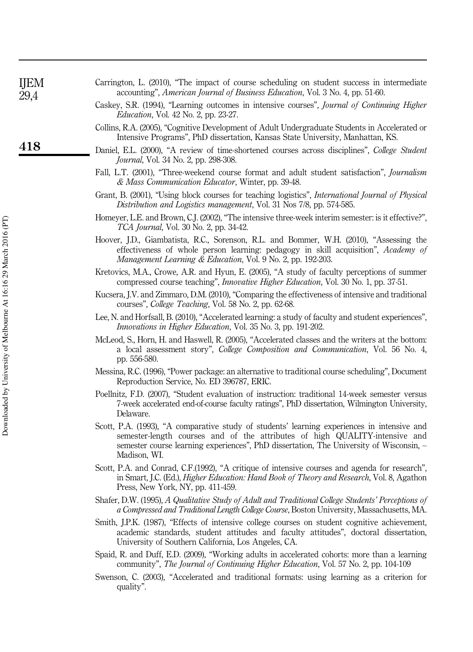| <b>IJEM</b><br>29,4 | Carrington, L. (2010), "The impact of course scheduling on student success in intermediate<br>accounting", American Journal of Business Education, Vol. 3 No. 4, pp. 51-60.                                                                                                           |  |  |  |  |  |
|---------------------|---------------------------------------------------------------------------------------------------------------------------------------------------------------------------------------------------------------------------------------------------------------------------------------|--|--|--|--|--|
|                     | Caskey, S.R. (1994), "Learning outcomes in intensive courses", <i>Journal of Continuing Higher</i><br><i>Education</i> , Vol. 42 No. 2, pp. 23-27.                                                                                                                                    |  |  |  |  |  |
|                     | Collins, R.A. (2005), "Cognitive Development of Adult Undergraduate Students in Accelerated or<br>Intensive Programs", PhD dissertation, Kansas State University, Manhattan, KS.                                                                                                      |  |  |  |  |  |
| 418                 | Daniel, E.L. (2000), "A review of time-shortened courses across disciplines", College Student<br>Journal, Vol. 34 No. 2, pp. 298-308.                                                                                                                                                 |  |  |  |  |  |
|                     | Fall, L.T. (2001), "Three-weekend course format and adult student satisfaction", Journalism<br>& Mass Communication Educator, Winter, pp. 39-48.                                                                                                                                      |  |  |  |  |  |
|                     | Grant, B. (2001), "Using block courses for teaching logistics", International Journal of Physical<br>Distribution and Logistics management, Vol. 31 Nos 7/8, pp. 574-585.                                                                                                             |  |  |  |  |  |
|                     | Homeyer, L.E. and Brown, C.J. (2002), "The intensive three-week interim semester: is it effective?",<br><i>TCA Journal</i> , Vol. 30 No. 2, pp. 34-42.                                                                                                                                |  |  |  |  |  |
|                     | Hoover, J.D., Giambatista, R.C., Sorenson, R.L. and Bommer, W.H. (2010), "Assessing the<br>effectiveness of whole person learning: pedagogy in skill acquisition", Academy of<br>Management Learning & Education, Vol. 9 No. 2, pp. 192-203.                                          |  |  |  |  |  |
|                     | Kretovics, M.A., Crowe, A.R. and Hyun, E. (2005), "A study of faculty perceptions of summer<br>compressed course teaching", <i>Innovative Higher Education</i> , Vol. 30 No. 1, pp. 37-51.                                                                                            |  |  |  |  |  |
|                     | Kucsera, J.V. and Zimmaro, D.M. (2010), "Comparing the effectiveness of intensive and traditional<br>courses", <i>College Teaching</i> , Vol. 58 No. 2, pp. 62-68.                                                                                                                    |  |  |  |  |  |
|                     | Lee, N. and Horfsall, B. (2010), "Accelerated learning: a study of faculty and student experiences",<br><i>Innovations in Higher Education, Vol. 35 No. 3, pp. 191-202.</i>                                                                                                           |  |  |  |  |  |
|                     | McLeod, S., Horn, H. and Haswell, R. (2005), "Accelerated classes and the writers at the bottom:<br>a local assessment story", College Composition and Communication, Vol. 56 No. 4,<br>pp. 556-580.                                                                                  |  |  |  |  |  |
|                     | Messina, R.C. (1996), "Power package: an alternative to traditional course scheduling", Document<br>Reproduction Service, No. ED 396787, ERIC.                                                                                                                                        |  |  |  |  |  |
|                     | Poellnitz, F.D. (2007), "Student evaluation of instruction: traditional 14-week semester versus<br>7-week accelerated end-of-course faculty ratings", PhD dissertation, Wilmington University,<br>Delaware.                                                                           |  |  |  |  |  |
|                     | Scott, P.A. (1993), "A comparative study of students' learning experiences in intensive and<br>semester-length courses and of the attributes of high QUALITY-intensive and<br>semester course learning experiences", PhD dissertation, The University of Wisconsin, -<br>Madison, WI. |  |  |  |  |  |
|                     | Scott, P.A. and Conrad, C.F.(1992), "A critique of intensive courses and agenda for research",<br>in Smart, J.C. (Ed.), <i>Higher Education: Hand Book of Theory and Research</i> , Vol. 8, Agathon<br>Press, New York, NY, pp. 411-459.                                              |  |  |  |  |  |
|                     | Shafer, D.W. (1995), A Qualitative Study of Adult and Traditional College Students' Perceptions of<br>a Compressed and Traditional Length College Course, Boston University, Massachusetts, MA.                                                                                       |  |  |  |  |  |
|                     | Smith, J.P.K. (1987), "Effects of intensive college courses on student cognitive achievement,<br>academic standards, student attitudes and faculty attitudes", doctoral dissertation,<br>University of Southern California, Los Angeles, CA.                                          |  |  |  |  |  |
|                     | Spaid, R. and Duff, E.D. (2009), "Working adults in accelerated cohorts: more than a learning<br>community", The Journal of Continuing Higher Education, Vol. 57 No. 2, pp. 104-109                                                                                                   |  |  |  |  |  |
|                     | Swenson, C. (2003), "Accelerated and traditional formats: using learning as a criterion for<br>quality".                                                                                                                                                                              |  |  |  |  |  |
|                     |                                                                                                                                                                                                                                                                                       |  |  |  |  |  |

Downloaded by University of Melbourne At 16:16 29 March 2016 (PT) Downloaded by University of Melbourne At 16:16 29 March 2016 (PT)